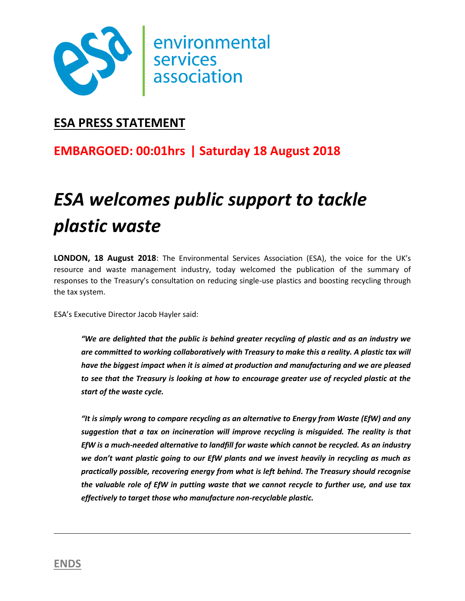

### **ESA PRESS STATEMENT**

## **EMBARGOED: 00:01hrs | Saturday 18 August 2018**

# *ESA welcomes public support to tackle plastic waste*

**LONDON, 18 August 2018**: The Environmental Services Association (ESA), the voice for the UK's resource and waste management industry, today welcomed the publication of the summary of responses to the Treasury's consultation on reducing single-use plastics and boosting recycling through the tax system.

ESA's Executive Director Jacob Hayler said:

*"We are delighted that the public is behind greater recycling of plastic and as an industry we are committed to working collaboratively with Treasury to make this a reality. A plastic tax will have the biggest impact when it is aimed at production and manufacturing and we are pleased to see that the Treasury is looking at how to encourage greater use of recycled plastic at the start of the waste cycle.*

*"It is simply wrong to compare recycling as an alternative to Energy from Waste (EfW) and any suggestion that a tax on incineration will improve recycling is misguided. The reality is that EfW is a much-needed alternative to landfill for waste which cannot be recycled. As an industry we don't want plastic going to our EfW plants and we invest heavily in recycling as much as practically possible, recovering energy from what is left behind. The Treasury should recognise the valuable role of EfW in putting waste that we cannot recycle to further use, and use tax effectively to target those who manufacture non-recyclable plastic.*